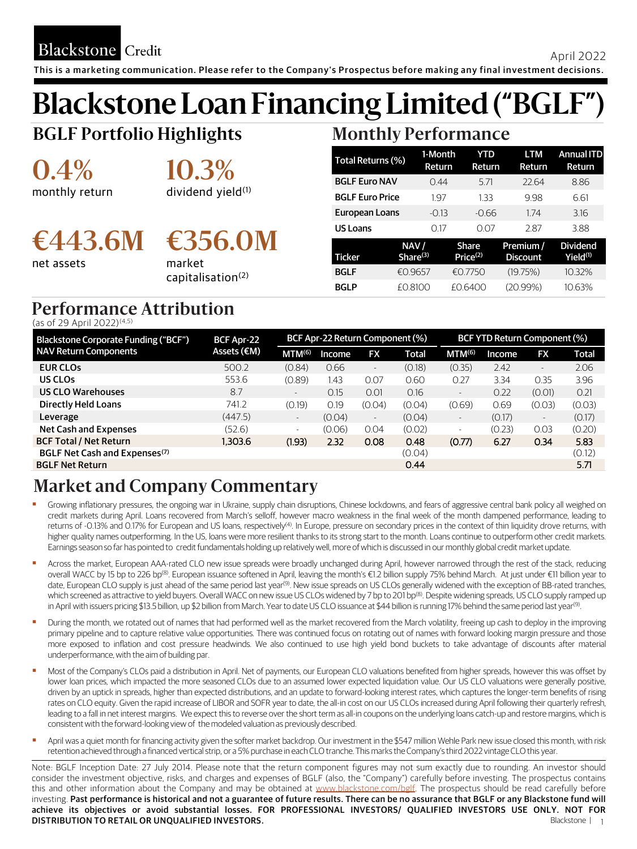**Blackstone** Credit

# **Blackstone Loan Financing Limited ("BGLF")**

**BGLF Portfolio Highlights**

**0.4%** monthly return **10.3%**

dividend yield<sup>(1)</sup>

# **€443.6M €356.0M**

net assets

market capitalisation(2)

## **Monthly Performance**

| Total Returns (%)      | 1-Month     | YTD                  | LTM             | <b>Annual ITD</b> |
|------------------------|-------------|----------------------|-----------------|-------------------|
|                        | Return      | Return               | Return          | Return            |
| <b>BGLF Euro NAV</b>   | 0.44        | 5.71                 | 22.64           | 8.86              |
| <b>BGLF Euro Price</b> | 197         | 133                  | 9.98            | 6.61              |
| European Loans         | $-0.13$     | $-0.66$              | 174             | 3.16              |
| <b>US Loans</b>        | 0.17        | 0.07                 | 2.87            | 3.88              |
|                        | NAV/        | Share                | Premium /       | <b>Dividend</b>   |
| Ticker                 | Share $(3)$ | Price <sup>(2)</sup> | <b>Discount</b> | $Yield^{(1)}$     |
| <b>BGLF</b>            | €0.9657     | €0.7750              | (19.75%)        | 10.32%            |
| BGLP                   | £0.8100     | £0.6400              | (20.99%)        | 10.63%            |

## **Performance Attribution**

(as of 29 April 2022)(4,5)

| Blackstone Corporate Funding ("BCF")      | BCF Apr 22  | BCF Apr-22 Return Component (%) |        |                          |        | BCF YTD Return Component (%) |        |                          |        |
|-------------------------------------------|-------------|---------------------------------|--------|--------------------------|--------|------------------------------|--------|--------------------------|--------|
| <b>NAV Return Components</b>              | Assets (€M) | MTM <sup>(6)</sup>              | Income | <b>FX</b>                | Total  | MTM <sup>(6)</sup>           | Income | <b>FX</b>                | Total  |
| <b>EUR CLOS</b>                           | 500.2       | (0.84)                          | 0.66   | $\overline{\phantom{a}}$ | (0.18) | (0.35)                       | 2.42   | $\overline{\phantom{a}}$ | 2.06   |
| US CLOS                                   | 553.6       | (0.89)                          | 1.43   | 0.07                     | 0.60   | 0.27                         | 3.34   | 0.35                     | 3.96   |
| <b>US CLO Warehouses</b>                  | 8.7         | $\sim$                          | 0.15   | 0.01                     | 0.16   | $\sim$                       | 0.22   | (0.01)                   | 0.21   |
| <b>Directly Held Loans</b>                | 741.2       | (0.19)                          | 0.19   | (0.04)                   | (0.04) | (0.69)                       | 0.69   | (0.03)                   | (0.03) |
| Leverage                                  | (447.5)     | $\sim$                          | (0.04) | $\overline{\phantom{a}}$ | (0.04) | $\overline{\phantom{a}}$     | (0.17) | $\qquad \qquad -$        | (0.17) |
| Net Cash and Expenses                     | (52.6)      | $\sim$                          | (0.06) | 0.04                     | (0.02) | ٠                            | (0.23) | 0.03                     | (0.20) |
| <b>BCF Total / Net Return</b>             | 1,303.6     | (1.93)                          | 2.32   | 0.08                     | 0.48   | (0.77)                       | 6.27   | 0.34                     | 5.83   |
| BGLF Net Cash and Expenses <sup>(7)</sup> |             |                                 |        |                          | (0.04) |                              |        |                          | (0.12) |
| <b>BGLF Net Return</b>                    |             |                                 |        |                          | 0.44   |                              |        |                          | 5.71   |

## **Market and Company Commentary**

- Growing inflationary pressures, the ongoing war in Ukraine, supply chain disruptions, Chinese lockdowns, and fears of aggressive central bank policy all weighed on credit markets during April. Loans recovered from March's selloff, however macro weakness in the final week of the month dampened performance, leading to returns of -0.13% and 0.17% for European and US loans, respectively<sup>(4)</sup>. In Europe, pressure on secondary prices in the context of thin liquidity drove returns, with higher quality names outperforming. In the US, loans were more resilient thanks to its strong start to the month. Loans continue to outperform other credit markets. Earningsseason so far has pointed to credit fundamentals holding up relatively well, more of which is discussed in our monthly global credit market update.
- Across the market, European AAA-rated CLO new issue spreads were broadly unchanged during April, however narrowed through the rest of the stack, reducing overall WACC by 15 bp to 226 bp<sup>(8)</sup>. European issuance softened in April, leaving the month's €1.2 billion supply 75% behind March. At just under €11 billion year to date, European CLO supply is just ahead of the same period last year<sup>(9)</sup>. New issue spreads on US CLOs generally widened with the exception of BB-rated tranches, which screened as attractive to yield buyers. Overall WACC on new issue US CLOs widened by 7 bp to 201 bp®). Despite widening spreads, US CLO supply ramped up in April with issuers pricing \$13.5 billion, up \$2 billion from March. Year to date US CLO issuance at \$44 billion is running 17% behind the same period last year<sup>(9)</sup>. .
- During the month, we rotated out of names that had performed well as the market recovered from the March volatility, freeing up cash to deploy in the improving primary pipeline and to capture relative value opportunities. There was continued focus on rotating out of names with forward looking margin pressure and those more exposed to inflation and cost pressure headwinds. We also continued to use high yield bond buckets to take advantage of discounts after material underperformance, with the aim of building par.
- Most of the Company's CLOs paid a distribution in April. Net of payments, our European CLO valuations benefited from higher spreads, however this was offset by lower loan prices, which impacted the more seasoned CLOs due to an assumed lower expected liquidation value. Our US CLO valuations were generally positive, driven by an uptick in spreads, higher than expected distributions, and an update to forward-looking interest rates, which captures the longer-term benefits of rising rates on CLO equity. Given the rapid increase of LIBOR and SOFR year to date, the all-in cost on our US CLOs increased during April following their quarterly refresh, leading to a fall in net interest margins. We expect this to reverse over the short term as all-in coupons on the underlying loans catch-up and restore margins, which is consistent with the forward-looking view of the modeled valuation as previously described.
- April was a quiet month for financing activity given the softer market backdrop. Our investment in the \$547 million Wehle Park new issue closed this month, with risk retentionachieved through a financed verticalstrip, or a 5% purchase in each CLO tranche. This marksthe Company'sthird 2022 vintage CLO this year.

Note: BGLF Inception Date: 27 July 2014. Please note that the return component figures may not sum exactly due to rounding. An investor should consider the investment objective, risks, and charges and expenses of BGLF (also, the "Company") carefully before investing. The prospectus contains this and other information about the Company and may be obtained at [www.blackstone.com/bglf](http://www.blackstone.com/fund/bglf). The prospectus should be read carefully before investing. Past performance is historical and not a guarantee of future results. There can be no assurance that BGLF or any Blackstone fund will achieve its objectives or avoid substantial losses. FOR PROFESSIONAL INVESTORS/ QUALIFIED INVESTORS USE ONLY. NOT FOR **DISTRIBUTION TO RETAIL OR UNQUALIFIED INVESTORS. Blackstone | 1** | 1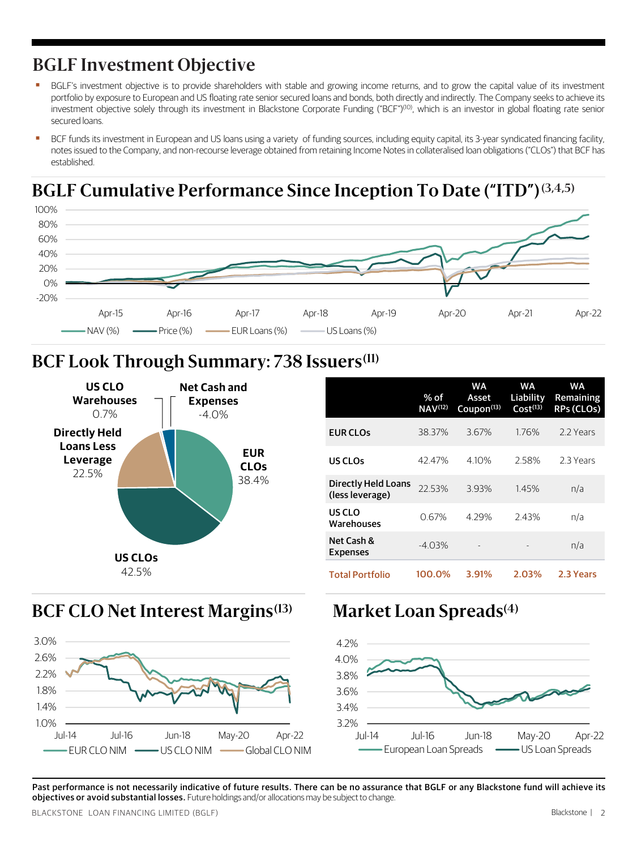### **BGLF Investment Objective**

- BGLF's investment objective is to provide shareholders with stable and growing income returns, and to grow the capital value of its investment portfolio by exposure to European and US floating rate senior secured loans and bonds, both directly and indirectly. The Company seeks to achieve its investment objective solely through its investment in Blackstone Corporate Funding ("BCF")<sup>(10)</sup>, which is an investor in global floating rate senior secured loans.
- BCF funds its investment in European and US loans using a variety of funding sources, including equity capital, its 3-year syndicated financing facility, notes issued to the Company, and non-recourse leverage obtained from retaining Income Notes in collateralised loan obligations ("CLOs") that BCF has established.

### **BGLF Cumulative Performance Since Inception To Date ("ITD")(3,4,5)**



### **BCF Look Through Summary: 738 Issuers(11)**



|                                               | % of<br>$NAV^{(12)}$ | WA<br>Asset<br>Coupon <sup>(13)</sup> | WA<br>Liability<br>Cost <sup>(13)</sup> | WA<br>Remaining<br>RPs (CLOs) |
|-----------------------------------------------|----------------------|---------------------------------------|-----------------------------------------|-------------------------------|
| <b>EUR CLOs</b>                               | 38.37%               | 3.67%                                 | 1.76%                                   | 2.2 Years                     |
| US CLOs                                       | 42.47%               | 4.10%                                 | 2.58%                                   | 2.3 Years                     |
| <b>Directly Held Loans</b><br>(less leverage) | 22.53%               | 3.93%                                 | 1.45%                                   | n/a                           |
| US CLO<br>Warehouses                          | 0.67%                | 4.29%                                 | 2.43%                                   | n/a                           |
| Net Cash &<br>Expenses                        | $-4.03%$             |                                       |                                         | n/a                           |
| <b>Total Portfolio</b>                        | 100.0%               | 3.91%                                 | 2.03%                                   | 2.3 Years                     |

#### **Market Loan Spreads BCF CLO Net Interest Margins(13) (4)**





Past performance is not necessarily indicative of future results. There can be no assurance that BGLF or any Blackstone fund will achieve its objectives or avoid substantial losses. Future holdings and/or allocations may be subject to change.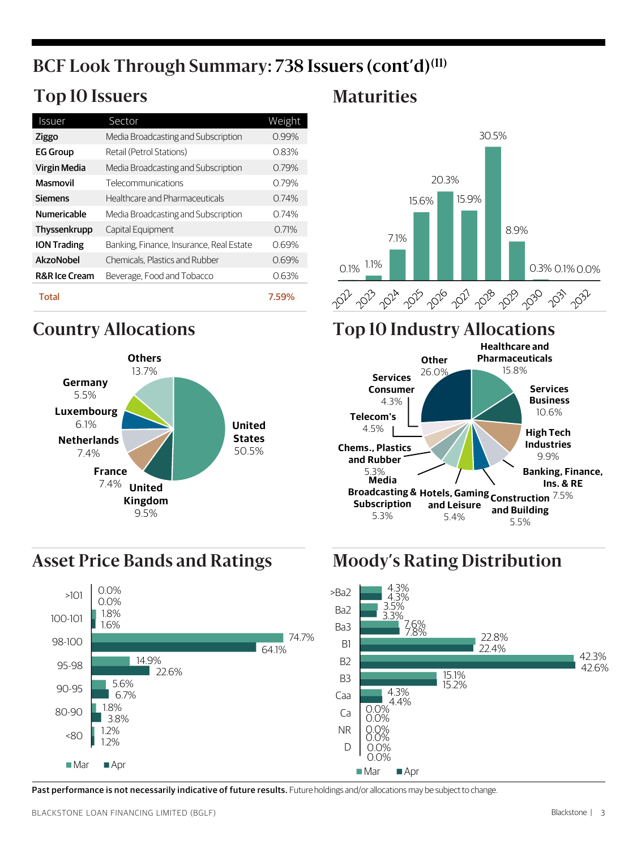## **BCF Look Through Summary: 738 Issuers (cont'd)(11)**

## **Top 10 Issuers Maturities**

| Issuer                   | Sector                                   | Weight |
|--------------------------|------------------------------------------|--------|
| Ziggo                    | Media Broadcasting and Subscription      | 0.99%  |
| <b>EG Group</b>          | Retail (Petrol Stations)                 | 0.83%  |
| Virgin Media             | Media Broadcasting and Subscription      | 0.79%  |
| Masmovil                 | Telecommunications                       | 0.79%  |
| <b>Siemens</b>           | Healthcare and Pharmaceuticals           | 0.74%  |
| <b>Numericable</b>       | Media Broadcasting and Subscription      | 0.74%  |
| Thyssenkrupp             | Capital Equipment                        | 0.71%  |
| <b>ION Trading</b>       | Banking, Finance, Insurance, Real Estate | 0.69%  |
| AkzoNobel                | Chemicals. Plastics and Rubber           | 0.69%  |
| <b>R&amp;R</b> Ice Cream | Beverage, Food and Tobacco               | 0.63%  |
| <b>Total</b>             |                                          | 7.59%  |



## **Asset Price Bands and Ratings Moody's Rating Distribution**





## **Country Allocations Top 10 Industry Allocations**





Past performance is not necessarily indicative of future results. Future holdings and/or allocations may be subject to change.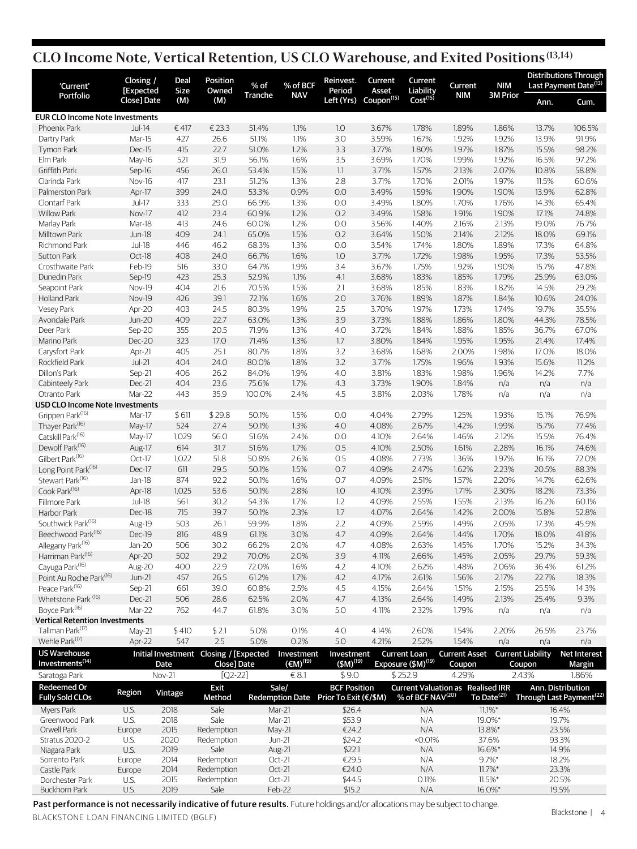### **CLO Income Note, Vertical Retention, US CLO Warehouse, and Exited Positions (13,14)**

| 'Current'                              | Closing /<br>[Expected | Deal<br>Size | Position<br>Owned                      | % of            | % of BCF                | Reinvest.<br>Period                   | Current<br>Asset                  | Current<br>Liability           | Current                                  | <b>NIM</b>              |                          | <b>Distributions Through</b><br>Last Payment Date <sup>(13)</sup> |
|----------------------------------------|------------------------|--------------|----------------------------------------|-----------------|-------------------------|---------------------------------------|-----------------------------------|--------------------------------|------------------------------------------|-------------------------|--------------------------|-------------------------------------------------------------------|
| Portfolio                              | Close] Date            | (M)          | (M)                                    | Tranche         | <b>NAV</b>              |                                       | Left (Yrs) Coupon <sup>(15)</sup> | $Cost^{(15)}$                  | <b>NIM</b>                               | <b>3M Prior</b>         | Ann.                     | Cum.                                                              |
| <b>EUR CLO Income Note Investments</b> |                        |              |                                        |                 |                         |                                       |                                   |                                |                                          |                         |                          |                                                                   |
| Phoenix Park                           | <b>Jul-14</b>          | €417         | €23.3                                  | 51.4%           | 1.1%                    | 1.0                                   | 3.67%                             | 1.78%                          | 1.89%                                    | 1.86%                   | 13.7%                    | 106.5%                                                            |
| Dartry Park                            | Mar-15                 | 427          | 26.6                                   | 51.1%           | 1.1%                    | 3.0                                   | 3.59%                             | 1.67%                          | 1.92%                                    | 1.92%                   | 13.9%                    | 91.9%                                                             |
| Tymon Park                             | Dec-15                 | 415          | 22.7                                   | 51.0%           | 1.2%                    | 3.3                                   | 3.77%                             | 1.80%                          | 1.97%                                    | 1.87%                   | 15.5%                    | 98.2%                                                             |
| Elm Park                               | May-16                 | 521          | 31.9                                   | 56.1%           | 1.6%                    | 3.5                                   | 3.69%                             | 1.70%                          | 1.99%                                    | 1.92%                   | 16.5%                    | 97.2%                                                             |
| Griffith Park                          | Sep-16                 | 456          | 26.0                                   | 53.4%           | 1.5%                    | 1.1                                   | 3.71%                             | 1.57%                          | 2.13%                                    | 2.07%                   | 10.8%                    | 58.8%                                                             |
| Clarinda Park                          | Nov-16                 | 417          | 23.1                                   | 51.2%           | 1.3%                    | 2.8                                   | 3.71%                             | 1.70%                          | 2.01%                                    | 1.97%                   | 11.5%                    | 60.6%                                                             |
| Palmerston Park                        | Apr-17                 | 399          | 24.0                                   | 53.3%           | 0.9%                    | 0.0                                   | 3.49%                             | 1.59%                          | 1.90%                                    | 1.90%                   | 13.9%                    | 62.8%                                                             |
| Clontarf Park                          | <b>Jul-17</b>          | 333          | 29.0                                   | 66.9%           | 1.3%                    | 0.0                                   | 3.49%                             | 1.80%                          | 1.70%                                    | 1.76%                   | 14.3%                    | 65.4%                                                             |
| <b>Willow Park</b>                     | Nov-17                 | 412          | 23.4                                   | 60.9%           | 1.2%                    | 0.2                                   | 3.49%                             | 1.58%                          | 1.91%                                    | 1.90%                   | 17.1%                    | 74.8%                                                             |
| Marlay Park                            | Mar-18                 | 413          | 24.6                                   | 60.0%           | 1.2%                    | 0.0                                   | 3.56%                             | 1.40%                          | 2.16%                                    | 2.13%                   | 19.0%                    | 76.7%                                                             |
| Milltown Park                          | <b>Jun-18</b>          | 409          | 24.1                                   | 65.0%           | 1.5%                    | 0.2                                   | 3.64%                             | 1.50%                          | 2.14%                                    | 2.12%                   | 18.0%                    | 69.1%                                                             |
| Richmond Park                          | <b>Jul-18</b>          | 446          | 46.2                                   | 68.3%           | 1.3%                    | 0.0                                   | 3.54%                             | 1.74%                          | 1.80%                                    | 1.89%                   | 17.3%                    | 64.8%                                                             |
| Sutton Park                            | Oct-18                 | 408          | 24.0                                   | 66.7%           | 1.6%                    | 1.0                                   | 3.71%                             | 1.72%                          | 1.98%                                    | 1.95%                   | 17.3%                    | 53.5%                                                             |
| Crosthwaite Park                       | Feb-19                 | 516          | 33.0                                   | 64.7%           | 1.9%                    | 3.4                                   | 3.67%                             | 1.75%                          | 1.92%                                    | 1.90%                   | 15.7%                    | 47.8%                                                             |
| Dunedin Park                           | Sep-19                 | 423          | 25.3                                   | 52.9%           | 1.1%                    | 4.1                                   | 3.68%                             | 1.83%                          | 1.85%                                    | 1.79%                   | 25.9%                    | 63.0%                                                             |
| Seapoint Park                          | Nov-19                 | 404          | 21.6                                   | 70.5%           | 1.5%                    | 2.1                                   | 3.68%                             | 1.85%                          | 1.83%                                    | 1.82%                   | 14.5%                    | 29.2%                                                             |
| <b>Holland Park</b>                    | Nov-19                 | 426          | 39.1                                   | 72.1%           | 1.6%                    | 2.0                                   | 3.76%                             | 1.89%                          | 1.87%                                    | 1.84%                   | 10.6%                    | 24.0%                                                             |
| <b>Vesey Park</b>                      | Apr-20                 | 403          | 24.5                                   | 80.3%           | 1.9%                    | 2.5                                   | 3.70%                             | 1.97%                          | 1.73%                                    | 1.74%                   | 19.7%                    | 35.5%                                                             |
| Avondale Park                          | <b>Jun-20</b>          | 409          | 22.7                                   | 63.0%           | 1.3%                    | 3.9                                   | 3.73%                             | 1.88%                          | 1.86%                                    | 1.80%                   | 44.3%                    | 78.5%                                                             |
| Deer Park                              | Sep-20                 | 355          | 20.5                                   | 71.9%           | 1.3%                    | 4.0                                   | 3.72%                             | 1.84%                          | 1.88%                                    | 1.85%                   | 36.7%                    | 67.0%                                                             |
| Marino Park                            | Dec-20                 | 323          | 17.0                                   | 71.4%           | 1.3%                    | 1.7                                   | 3.80%                             | 1.84%                          | 1.95%                                    | 1.95%                   | 21.4%                    | 17.4%                                                             |
| Carysfort Park                         | Apr-21                 | 405          | 25.1                                   | 80.7%           | 1.8%                    | 3.2                                   | 3.68%                             | 1.68%                          | 2.00%                                    | 1.98%                   | 17.0%                    | 18.0%                                                             |
| Rockfield Park                         | <b>Jul-21</b>          | 404          | 24.0                                   | 80.0%           | 1.8%<br>1.9%            | 3.2                                   | 3.71%                             | 1.75%                          | 1.96%                                    | 1.93%                   | 15.6%                    | 11.2%                                                             |
| Dillon's Park                          | Sep-21                 | 406<br>404   | 26.2                                   | 84.0%           | 1.7%                    | 4.0                                   | 3.81%<br>3.73%                    | 1.83%<br>1.90%                 | 1.98%<br>1.84%                           | 1.96%                   | 14.2%                    | 7.7%<br>n/a                                                       |
| Cabinteely Park<br>Otranto Park        | Dec-21<br>Mar-22       | 443          | 23.6<br>35.9                           | 75.6%<br>100.0% | 2.4%                    | 4.3<br>4.5                            | 3.81%                             | 2.03%                          | 1.78%                                    | n/a                     | n/a<br>n/a               | n/a                                                               |
| USD CLO Income Note Investments        |                        |              |                                        |                 |                         |                                       |                                   |                                |                                          | n/a                     |                          |                                                                   |
| Grippen Park <sup>(16)</sup>           | Mar-17                 | \$611        | \$29.8                                 | 50.1%           | 1.5%                    | 0.0                                   | 4.04%                             | 2.79%                          | 1.25%                                    | 1.93%                   | 15.1%                    | 76.9%                                                             |
| Thayer Park <sup>(16)</sup>            | May-17                 | 524          | 27.4                                   | 50.1%           | 1.3%                    | 4.0                                   | 4.08%                             | 2.67%                          | 1.42%                                    | 1.99%                   | 15.7%                    | 77.4%                                                             |
| Catskill Park <sup>(16)</sup>          | May-17                 | 1,029        | 56.0                                   | 51.6%           | 2.4%                    | 0.0                                   | 4.10%                             | 2.64%                          | 1.46%                                    | 2.12%                   | 15.5%                    | 76.4%                                                             |
| Dewolf Park <sup>(16)</sup>            | Aug-17                 | 614          | 31.7                                   | 51.6%           | 1.7%                    | 0.5                                   | 4.10%                             | 2.50%                          | 1.61%                                    | 2.28%                   | 16.1%                    | 74.6%                                                             |
| Gilbert Park <sup>(16)</sup>           | Oct-17                 | 1,022        | 51.8                                   | 50.8%           | 2.6%                    | 0.5                                   | 4.08%                             | 2.73%                          | 1.36%                                    | 1.97%                   | 16.1%                    | 72.0%                                                             |
| Long Point Park <sup>(16)</sup>        | Dec-17                 | 611          | 29.5                                   | 50.1%           | 1.5%                    | 0.7                                   | 4.09%                             | 2.47%                          | 1.62%                                    | 2.23%                   | 20.5%                    | 88.3%                                                             |
| Stewart Park <sup>(16)</sup>           | Jan-18                 | 874          | 92.2                                   | 50.1%           | 1.6%                    | 0.7                                   | 4.09%                             | 2.51%                          | 1.57%                                    | 2.20%                   | 14.7%                    | 62.6%                                                             |
| Cook Park <sup>(16)</sup>              | Apr-18                 | 1,025        | 53.6                                   | 50.1%           | 2.8%                    | 1.0                                   | 4.10%                             | 2.39%                          | 1.71%                                    | 2.30%                   | 18.2%                    | 73.3%                                                             |
| Fillmore Park                          | <b>Jul-18</b>          | 561          | 30.2                                   | 54.3%           | 1.7%                    | 1.2                                   | 4.09%                             | 2.55%                          | 1.55%                                    | 2.13%                   | 16.2%                    | 60.1%                                                             |
| Harbor Park                            | Dec-18                 | 715          | 39.7                                   | 50.1%           | 2.3%                    | 1.7                                   | 4.07%                             | 2.64%                          | 1.42%                                    | 2.00%                   | 15.8%                    | 52.8%                                                             |
| Southwick Park <sup>(16)</sup>         | Aug-19                 | 503          | 26.1                                   | 59.9%           | 1.8%                    | 2.2                                   | 4.09%                             | 2.59%                          | 1.49%                                    | 2.05%                   | 17.3%                    | 45.9%                                                             |
| Beechwood Park <sup>(16)</sup>         | Dec-19                 | 816          | 48.9                                   | 61.1%           | 3.0%                    | 4.7                                   | 4.09%                             | 2.64%                          | 1.44%                                    | 1.70%                   | 18.0%                    | 41.8%                                                             |
| Allegany Park <sup>(16)</sup>          | Jan-20                 | 506          | 30.2                                   | 66.2%           | 2.0%                    | 4.7                                   | 4.08%                             | 2.63%                          | 1.45%                                    | 1.70%                   | 15.2%                    | 34.3%                                                             |
| Harriman Park <sup>(16)</sup>          | Apr-20                 | 502          | 29.2                                   | 70.0%           | 2.0%                    | 3.9                                   | 4.11%                             | 2.66%                          | 1.45%                                    | 2.05%                   | 29.7%                    | 59.3%                                                             |
| Cayuga Park <sup>(16)</sup>            | Aug-20                 | 400          | 22.9                                   | 72.0%           | 1.6%                    | 4.2                                   | 4.10%                             | 2.62%                          | 1.48%                                    | 2.06%                   | 36.4%                    | 61.2%                                                             |
| Point Au Roche Park <sup>(16)</sup>    | <b>Jun-21</b>          | 457          | 26.5                                   | 61.2%           | 1.7%                    | 4.2                                   | 4.17%                             | 2.61%                          | 1.56%                                    | 2.17%                   | 22.7%                    | 18.3%                                                             |
| Peace Park <sup>(16)</sup>             | Sep-21                 | 661          | 39.0                                   | 60.8%           | 2.5%                    | 4.5                                   | 4.15%                             | 2.64%                          | 1.51%                                    | 2.15%                   | 25.5%                    | 14.3%                                                             |
| Whetstone Park <sup>(16)</sup>         | Dec-21                 | 506          | 28.6                                   | 62.5%           | 2.0%                    | 4.7                                   | 4.13%                             | 2.64%                          | 1.49%                                    | 2.13%                   | 25.4%                    | 9.3%                                                              |
| Boyce Park <sup>(16)</sup>             | Mar-22                 | 762          | 44.7                                   | 61.8%           | 3.0%                    | 5.0                                   | 4.11%                             | 2.32%                          | 1.79%                                    | n/a                     | n/a                      | n/a                                                               |
| <b>Vertical Retention Investments</b>  |                        |              |                                        |                 |                         |                                       |                                   |                                |                                          |                         |                          |                                                                   |
| Tallman Park <sup>(17)</sup>           | May-21                 | \$410        | \$2.1                                  | 5.0%            | 0.1%                    | 4.0                                   | 4.14%                             | 2.60%                          | 1.54%                                    | 2.20%                   | 26.5%                    | 23.7%                                                             |
| Wehle Park <sup>(17)</sup>             | Apr-22                 | 547          | 2.5                                    | 5.0%            | 0.2%                    | 5.0                                   | 4.21%                             | 2.52%                          | 1.54%                                    | n/a                     | n/a                      | n/a                                                               |
| <b>US Warehouse</b>                    |                        |              | Initial Investment Closing / [Expected |                 | Investment              | Investment                            |                                   | <b>Current Loan</b>            | <b>Current Asset</b>                     |                         | <b>Current Liability</b> | <b>Net Interest</b>                                               |
| Investments <sup>(14)</sup>            |                        | Date         | Close] Date                            |                 | $(EM)$ <sup>(19)</sup>  | $(5M)^{(19)}$                         |                                   | Exposure (\$M) <sup>(19)</sup> | Coupon                                   |                         | Coupon                   | Margin                                                            |
| Saratoga Park                          |                        | Nov-21       | $[Q2-22]$                              |                 | € $8.1$                 | \$9.0                                 |                                   | \$252.9                        | 4.29%                                    |                         | 2.43%                    | 1.86%                                                             |
| Redeemed Or                            | Region                 | Vintage      | Exit                                   |                 | Sale/                   | <b>BCF Position</b>                   |                                   |                                | <b>Current Valuation as Realised IRR</b> |                         | Ann. Distribution        |                                                                   |
| <b>Fully Sold CLOs</b>                 |                        |              | Method                                 |                 |                         | Redemption Date Prior To Exit (€/\$M) |                                   | % of BCF NAV(20)               |                                          | To Date <sup>(21)</sup> |                          | Through Last Payment <sup>(22)</sup>                              |
| Myers Park                             | U.S.                   | 2018         | Sale                                   |                 | Mar-21                  | \$26.4                                |                                   | N/A                            |                                          | $11.1\%$ *              | 16.4%                    |                                                                   |
| Greenwood Park                         | U.S.                   | 2018         | Sale                                   |                 | Mar-21                  | \$53.9                                |                                   | N/A                            |                                          | 19.0%*                  | 19.7%                    |                                                                   |
| Orwell Park                            | Europe                 | 2015         | Redemption                             |                 | May-21                  | €24.2                                 |                                   | N/A                            |                                          | 13.8%*                  | 23.5%                    |                                                                   |
| Stratus 2020-2<br>Niagara Park         | U.S.<br>U.S.           | 2020<br>2019 | Redemption<br>Sale                     |                 | <b>Jun-21</b><br>Aug-21 | \$24.2<br>\$22.1                      |                                   | <0.01%<br>N/A                  |                                          | 37.6%<br>16.6%*         | 93.3%<br>14.9%           |                                                                   |
| Sorrento Park                          | Europe                 | 2014         | Redemption                             |                 | Oct-21                  | €29.5                                 |                                   | N/A                            |                                          | $9.7\%$ *               | 18.2%                    |                                                                   |

Past performance is not necessarily indicative of future results. Future holdings and/or allocations may be subject to change.

 $\epsilon$ astle Park Burope 2014 Redemption Oct-21 €24.0 N/A 11.7%\* 23.3% Dorchester Park U.S. 2015 Redemption Oct-21 \$44.5 0.11% 11.5%\* 20.5% Buckhorn Park U.S. 2019 Sale Feb-22 \$15.2 N/A 16.0%\* 19.5%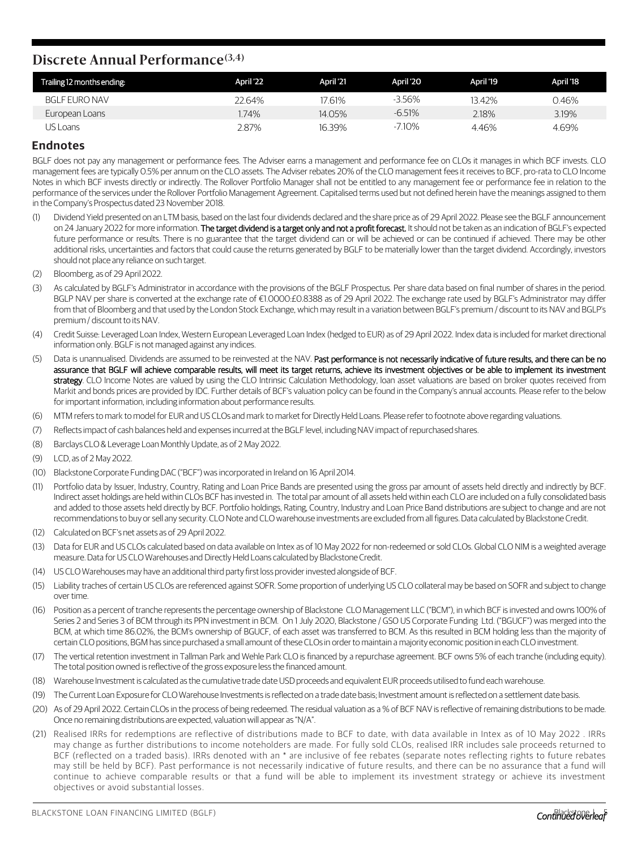#### **Discrete Annual Performance(3,4)**

| Trailing 12 months ending: | April '22 | April '21 | April '20 | April '19 | April '18 |
|----------------------------|-----------|-----------|-----------|-----------|-----------|
| <b>BGLF EURO NAV</b>       | 22.64%    | 7.61%     | $-3.56\%$ | 13.42%    | 0.46%     |
| European Loans             | .74%      | 14.05%    | $-6.51%$  | 2.18%     | 3.19%     |
| US Loans                   | 2.87%     | 16.39%    | $-7.10\%$ | 4.46%     | 4.69%     |

#### **Endnotes**

BGLF does not pay any management or performance fees. The Adviser earns a management and performance fee on CLOs it manages in which BCF invests. CLO management fees are typically 0.5% per annum on the CLO assets. The Adviser rebates 20% of the CLO management feesit receives to BCF, pro-rata to CLO Income Notes in which BCF invests directly or indirectly. The Rollover Portfolio Manager shall not be entitled to any management fee or performance fee in relation to the performance of the services under the Rollover Portfolio Management Agreement. Capitalised terms used but not defined herein have the meanings assigned to them in the Company's Prospectus dated 23 November 2018.

- (1) Dividend Yield presented on an LTM basis, based on the last four dividends declared and the share price as of 29 April 2022. Please see the BGLF announcement on 24 January 2022 for more information. The target dividend is a target only and not a profit forecast. It should not be taken as an indication of BGLF's expected future performance or results. There is no guarantee that the target dividend can or will be achieved or can be continued if achieved. There may be other additional risks, uncertainties and factors that could cause the returns generated by BGLF to be materially lower than the target dividend. Accordingly, investors should not place any reliance on such target.
- (2) Bloomberg, as of 29 April 2022.
- As calculated by BGLF's Administrator in accordance with the provisions of the BGLF Prospectus. Per share data based on final number of shares in the period. BGLP NAV per share is converted at the exchange rate of €1.0000:£0.8388 as of 29 April 2022. The exchange rate used by BGLF's Administrator may differ from that of Bloomberg and that used by the London Stock Exchange, which may result in a variation between BGLF's premium / discount to its NAV and BGLP's premium / discount to its NAV.
- (4) Credit Suisse: Leveraged Loan Index, Western European Leveraged Loan Index (hedged to EUR) as of 29 April 2022. Index data isincluded for market directional information only. BGLF is not managed against any indices.
- (5) Data is unannualised. Dividends are assumed to be reinvested at the NAV. Past performance is not necessarily indicative of future results, and there can be no assurance that BGLF will achieve comparable results, will meet its target returns, achieve its investment objectives or be able to implement its investment strategy. CLO Income Notes are valued by using the CLO Intrinsic Calculation Methodology, loan asset valuations are based on broker quotes received from Markit and bonds prices are provided by IDC. Further details of BCF's valuation policy can be found in the Company's annual accounts. Please refer to the below for important information, including information about performance results.
- (6) MTM refersto mark to model for EUR and US CLOs and mark to market for DirectlyHeld Loans. Please refer to footnote above regarding valuations.
- (7) Reflectsimpact of cash balances held and expensesincurred at the BGLF level, includingNAV impact of repurchased shares.
- (8) Barclays CLO& Leverage Loan Monthly Update, as of 2 May 2022.
- (9) LCD, as of 2 May 2022.
- (10) Blackstone Corporate FundingDAC ("BCF")wasincorporated in Ireland on 16 April 2014.
- (11) Portfolio data by Issuer, Industry, Country, Rating and Loan Price Bands are presented using the gross par amount of assets held directly and indirectly by BCF. Indirect asset holdings are held within CLOs BCF hasinvested in. The total par amount of all assets held within each CLO are included on a fully consolidated basis and added to those assets held directly by BCF. Portfolio holdings, Rating, Country, Industry and Loan Price Band distributions are subject to change and are not recommendationsto buy orsell any security.CLONote and CLO warehouse investments are excluded from all figures.Data calculated by Blackstone Credit.
- (12) Calculated on BCF's net assets as of 29 April 2022.
- (13) Data for EUR and US CLOs calculated based on data available on Intex as of 10 May 2022 for non-redeemed orsold CLOs. Global CLO NIM is a weighted average measure. Data for US CLO Warehouses and Directly Held Loans calculated by Blackstone Credit.
- (14) US CLO Warehouses may have an additional third party first loss provider invested alongside of BCF.
- (15) Liability traches of certain US CLOs are referenced against SOFR. Some proportion of underlying US CLO collateral may be based on SOFR and subject to change over time.
- (16) Position as a percent of tranche representsthe percentage ownership of Blackstone CLO Management LLC ("BCM"), in which BCF isinvested and owns 100% of Series 2 and Series 3 of BCM through its PPN investment in BCM. On 1 July 2020, Blackstone / GSO US Corporate Funding Ltd. ("BGUCF") was merged into the BCM, at which time 86.02%, the BCM's ownership of BGUCF, of each asset was transferred to BCM. As this resulted in BCM holding less than the majority of certain CLO positions, BGM has since purchased a small amount of these CLOs in order to maintain a majority economic position in each CLO investment.
- (17) The vertical retention investment in Tallman Park and Wehle Park CLO is financed by a repurchase agreement. BCF owns 5% of each tranche (including equity). The total position owned is reflective of the gross exposure less the financed amount.
- (18) Warehouse Investment is calculated asthe cumulative trade date USD proceeds and equivalent EUR proceeds utilised to fund each warehouse.
- (19) The Current Loan Exposure for CLOWarehouse Investmentsisreflected on a trade date basis; Investment amount isreflected on a settlement date basis.
- (20) As of 29 April 2022. Certain CLOs in the process of being redeemed. The residual valuation as a % of BCF NAV is reflective of remaining distributions to be made. Once no remaining distributions are expected, valuation will appear as"N/A".
- (21) Realised IRRs for redemptions are reflective of distributions made to BCF to date, with data available in Intex as of 10 May 2022 . IRRs may change as further distributions to income noteholders are made. For fully sold CLOs, realised IRR includes sale proceeds returned to BCF (reflected on a traded basis). IRRs denoted with an \* are inclusive of fee rebates (separate notes reflecting rights to future rebates may still be held by BCF). Past performance is not necessarily indicative of future results, and there can be no assurance that a fund will continue to achieve comparable results or that a fund will be able to implement its investment strategy or achieve its investment objectives or avoid substantial losses.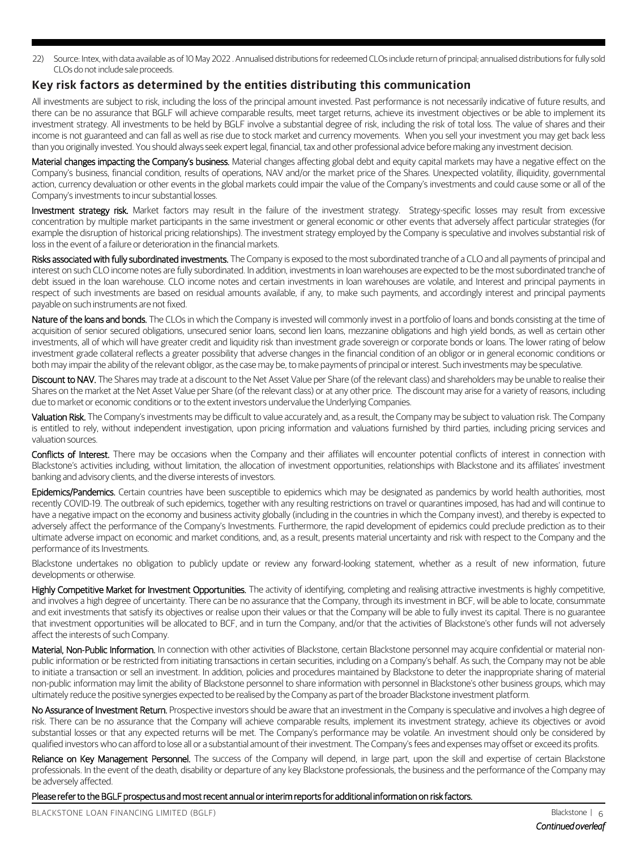22) Source: Intex, with data available as of 10 May 2022 . Annualised distributions for redeemed CLOs include return of principal; annualised distributions for fully sold CLOs do not include sale proceeds.

#### **Key risk factors as determined by the entities distributing this communication**

All investments are subject to risk, including the loss of the principal amount invested. Past performance is not necessarily indicative of future results, and there can be no assurance that BGLF will achieve comparable results, meet target returns, achieve its investment objectives or be able to implement its investment strategy. All investments to be held by BGLF involve a substantial degree of risk, including the risk of total loss. The value of shares and their income is not guaranteed and can fall as well as rise due to stock market and currency movements. When you sell your investment you may get back less than you originally invested. You should always seek expert legal, financial, tax and other professional advice before making any investment decision.

Material changes impacting the Company's business. Material changes affecting global debt and equity capital markets may have a negative effect on the Company's business, financial condition, results of operations, NAV and/or the market price of the Shares. Unexpected volatility, illiquidity, governmental action, currency devaluation or other events in the global markets could impair the value of the Company's investments and could cause some or all of the Company's investments to incur substantial losses.

Investment strategy risk. Market factors may result in the failure of the investment strategy. Strategy-specific losses may result from excessive concentration by multiple market participants in the same investment or general economic or other events that adversely affect particular strategies (for example the disruption of historical pricing relationships). The investment strategy employed by the Company is speculative and involves substantial risk of loss in the event of a failure or deterioration in the financial markets.

Risks associated with fully subordinated investments. The Company is exposed to the most subordinated tranche of a CLO and all payments of principal and interest on such CLO income notes are fully subordinated. In addition, investments in loan warehouses are expected to be the mostsubordinated tranche of debt issued in the loan warehouse. CLO income notes and certain investments in loan warehouses are volatile, and Interest and principal payments in respect of such investments are based on residual amounts available, if any, to make such payments, and accordingly interest and principal payments payable on such instruments are not fixed.

Nature of the loans and bonds. The CLOs in which the Company is invested will commonly invest in a portfolio of loans and bonds consisting at the time of acquisition of senior secured obligations, unsecured senior loans, second lien loans, mezzanine obligations and high yield bonds, as well as certain other investments, all of which will have greater credit and liquidity risk than investment grade sovereign or corporate bonds or loans. The lower rating of below investment grade collateral reflects a greater possibility that adverse changes in the financial condition of an obligor or in general economic conditions or both may impair the ability of the relevant obligor, asthe case may be, to make payments of principal or interest. Such investments may be speculative.

Discount to NAV. The Shares may trade at a discount to the Net Asset Value per Share (of the relevant class) and shareholders may be unable to realise their Shares on the market at the Net Asset Value per Share (of the relevant class) or at any other price. The discount may arise for a variety of reasons, including due to market or economic conditions or to the extent investors undervalue the Underlying Companies.

Valuation Risk. The Company's investments may be difficult to value accurately and, as a result, the Company may be subject to valuation risk. The Company is entitled to rely, without independent investigation, upon pricing information and valuations furnished by third parties, including pricing services and valuation sources.

Conflicts of Interest. There may be occasions when the Company and their affiliates will encounter potential conflicts of interest in connection with Blackstone's activities including, without limitation, the allocation of investment opportunities, relationships with Blackstone and its affiliates' investment banking and advisory clients, and the diverse interests of investors.

Epidemics/Pandemics. Certain countries have been susceptible to epidemics which may be designated as pandemics by world health authorities, most recently COVID-19. The outbreak of such epidemics, together with any resulting restrictions on travel or quarantines imposed, has had and will continue to have a negative impact on the economy and business activity globally (including in the countries in which the Company invest), and thereby is expected to adversely affect the performance of the Company's Investments. Furthermore, the rapid development of epidemics could preclude prediction as to their ultimate adverse impact on economic and market conditions, and, as a result, presents material uncertainty and risk with respect to the Company and the performance of its Investments.

Blackstone undertakes no obligation to publicly update or review any forward-looking statement, whether as a result of new information, future developments or otherwise.

Highly Competitive Market for Investment Opportunities. The activity of identifying, completing and realising attractive investments is highly competitive, and involves a high degree of uncertainty. There can be no assurance that the Company, through its investment in BCF, will be able to locate, consummate and exit investments that satisfy its objectives or realise upon their values or that the Company will be able to fully invest its capital. There is no guarantee that investment opportunities will be allocated to BCF, and in turn the Company, and/or that the activities of Blackstone's other funds will not adversely affect the interests of such Company.

Material, Non-Public Information. In connection with other activities of Blackstone, certain Blackstone personnel may acquire confidential or material nonpublic information or be restricted from initiating transactions in certain securities, including on a Company's behalf. As such, the Company may not be able to initiate a transaction or sell an investment. In addition, policies and procedures maintained by Blackstone to deter the inappropriate sharing of material non-public information may limit the ability of Blackstone personnel to share information with personnel in Blackstone's other business groups, which may ultimately reduce the positive synergies expected to be realised by the Company as part of the broader Blackstone investment platform.

No Assurance of Investment Return. Prospective investors should be aware that an investment in the Company is speculative and involves a high degree of risk. There can be no assurance that the Company will achieve comparable results, implement its investment strategy, achieve its objectives or avoid substantial losses or that any expected returns will be met. The Company's performance may be volatile. An investment should only be considered by qualified investors who can afford to lose all or a substantial amount of their investment. The Company'sfees and expenses may offset or exceed its profits.

Reliance on Key Management Personnel. The success of the Company will depend, in large part, upon the skill and expertise of certain Blackstone professionals. In the event of the death, disability or departure of any key Blackstone professionals, the business and the performance of the Company may be adversely affected.

Please referto the BGLF prospectus and mostrecent annual or interimreportsfor additional information on risk factors.